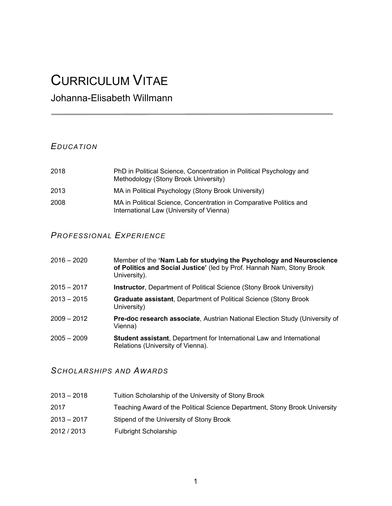# CURRICULUM VITAE

# Johanna-Elisabeth Willmann

# **EDUCATION**

| 2018 | PhD in Political Science, Concentration in Political Psychology and<br>Methodology (Stony Brook University)    |
|------|----------------------------------------------------------------------------------------------------------------|
| 2013 | MA in Political Psychology (Stony Brook University)                                                            |
| 2008 | MA in Political Science, Concentration in Comparative Politics and<br>International Law (University of Vienna) |

# PROFESSIONAL EXPERIENCE

| $2016 - 2020$ | Member of the 'Nam Lab for studying the Psychology and Neuroscience<br>of Politics and Social Justice' (led by Prof. Hannah Nam, Stony Brook<br>University). |
|---------------|--------------------------------------------------------------------------------------------------------------------------------------------------------------|
| $2015 - 2017$ | <b>Instructor</b> , Department of Political Science (Stony Brook University)                                                                                 |
| $2013 - 2015$ | <b>Graduate assistant, Department of Political Science (Stony Brook)</b><br>University)                                                                      |
| $2009 - 2012$ | Pre-doc research associate, Austrian National Election Study (University of<br>Vienna)                                                                       |
| $2005 - 2009$ | <b>Student assistant, Department for International Law and International</b><br>Relations (University of Vienna).                                            |

# SCHOLARSHIPS AND AWARDS

- 2013 2018 Tuition Scholarship of the University of Stony Brook
- 2017 Teaching Award of the Political Science Department, Stony Brook University
- 2013 2017 Stipend of the University of Stony Brook
- 2012 / 2013 Fulbright Scholarship